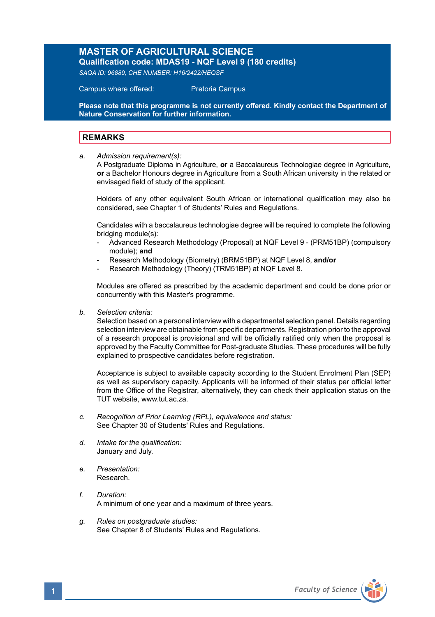## **MASTER OF AGRICULTURAL SCIENCE**

**Qualification code: MDAS19 - NQF Level 9 (180 credits)**  *SAQA ID: 96889, CHE NUMBER: H16/2422/HEQSF* 

Campus where offered: Pretoria Campus

**Please note that this programme is not currently offered. Kindly contact the Department of Nature Conservation for further information.**

## **REMARKS**

*a. Admission requirement(s):*

A Postgraduate Diploma in Agriculture, **or** a Baccalaureus Technologiae degree in Agriculture, **or** a Bachelor Honours degree in Agriculture from a South African university in the related or envisaged field of study of the applicant.

 Holders of any other equivalent South African or international qualification may also be considered, see Chapter 1 of Students' Rules and Regulations.

 Candidates with a baccalaureus technologiae degree will be required to complete the following bridging module(s):

- Advanced Research Methodology (Proposal) at NQF Level 9 (PRM51BP) (compulsory module); **and**
- Research Methodology (Biometry) (BRM51BP) at NQF Level 8, **and/or**
- Research Methodology (Theory) (TRM51BP) at NQF Level 8.

Modules are offered as prescribed by the academic department and could be done prior or concurrently with this Master's programme.

*b. Selection criteria:*

Selection based on a personal interview with a departmental selection panel. Details regarding selection interview are obtainable from specific departments. Registration prior to the approval of a research proposal is provisional and will be officially ratified only when the proposal is approved by the Faculty Committee for Post-graduate Studies. These procedures will be fully explained to prospective candidates before registration.

Acceptance is subject to available capacity according to the Student Enrolment Plan (SEP) as well as supervisory capacity. Applicants will be informed of their status per official letter from the Office of the Registrar, alternatively, they can check their application status on the TUT website, www.tut.ac.za.

- *c. Recognition of Prior Learning (RPL), equivalence and status:* See Chapter 30 of Students' Rules and Regulations.
- *d. Intake for the qualification:* January and July.
- *e. Presentation:* Research.
- *f. Duration:*  A minimum of one year and a maximum of three years.
- *g. Rules on postgraduate studies:* See Chapter 8 of Students' Rules and Regulations.